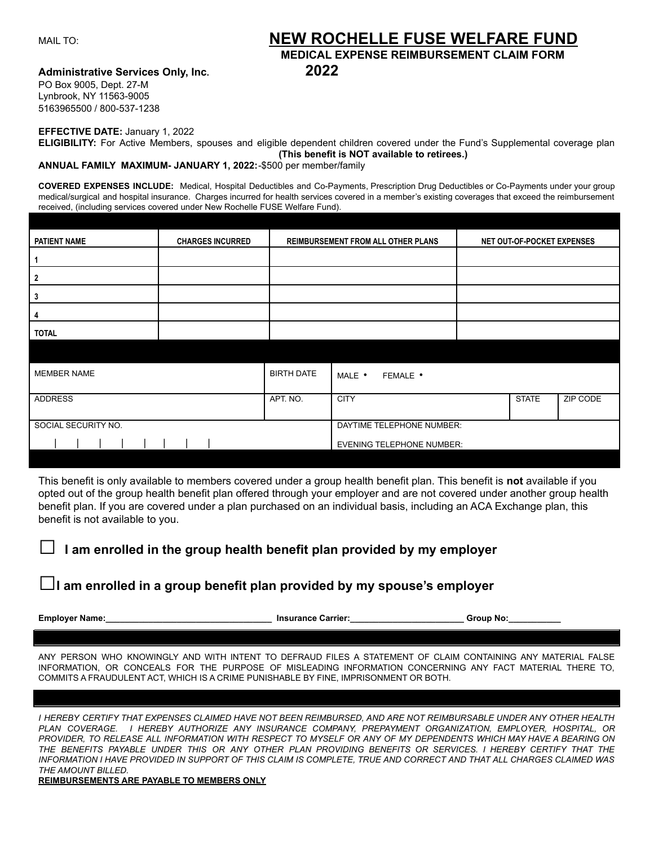# MAIL TO: **NEW ROCHELLE FUSE WELFARE FUND**

### **MEDICAL EXPENSE REIMBURSEMENT CLAIM FORM**

#### **Administrative Services Only, Inc. 2022**

PO Box 9005, Dept. 27-M Lynbrook, NY 11563-9005 5163965500 / 800-537-1238

#### **EFFECTIVE DATE:** January 1, 2022

**ELIGIBILITY:** For Active Members, spouses and eligible dependent children covered under the Fund's Supplemental coverage plan **(This benefit is NOT available to retirees.)**

#### **ANNUAL FAMILY MAXIMUM- JANUARY 1, 2022:**-\$500 per member/family

**COVERED EXPENSES INCLUDE:** Medical, Hospital Deductibles and Co-Payments, Prescription Drug Deductibles or Co-Payments under your group medical/surgical and hospital insurance. Charges incurred for health services covered in a member's existing coverages that exceed the reimbursement received, (including services covered under New Rochelle FUSE Welfare Fund).

| <b>PATIENT NAME</b> | <b>CHARGES INCURRED</b> |                   | <b>REIMBURSEMENT FROM ALL OTHER PLANS</b> |  | NET OUT-OF-POCKET EXPENSES |          |
|---------------------|-------------------------|-------------------|-------------------------------------------|--|----------------------------|----------|
|                     |                         |                   |                                           |  |                            |          |
| 2                   |                         |                   |                                           |  |                            |          |
| 3                   |                         |                   |                                           |  |                            |          |
| 4                   |                         |                   |                                           |  |                            |          |
| <b>TOTAL</b>        |                         |                   |                                           |  |                            |          |
|                     |                         |                   |                                           |  |                            |          |
| <b>MEMBER NAME</b>  |                         | <b>BIRTH DATE</b> | MALE •<br>FEMALE .                        |  |                            |          |
| <b>ADDRESS</b>      |                         | APT. NO.          | <b>CITY</b>                               |  | <b>STATE</b>               | ZIP CODE |
| SOCIAL SECURITY NO. |                         |                   | DAYTIME TELEPHONE NUMBER:                 |  |                            |          |
|                     |                         |                   | <b>EVENING TELEPHONE NUMBER:</b>          |  |                            |          |
|                     |                         |                   |                                           |  |                            |          |

This benefit is only available to members covered under a group health benefit plan. This benefit is **not** available if you opted out of the group health benefit plan offered through your employer and are not covered under another group health benefit plan. If you are covered under a plan purchased on an individual basis, including an ACA Exchange plan, this benefit is not available to you.

## **□ I am enrolled in the group health benefit plan provided by my employer**

|  | $\square$ I am enrolled in a group benefit plan provided by my spouse's employer |
|--|----------------------------------------------------------------------------------|

**Employer Name:** The same of the same of the same of the same of the same of the same of the same of the same of the same of the same of the same of the same of the same of the same of the same of the same of the same of t

ANY PERSON WHO KNOWINGLY AND WITH INTENT TO DEFRAUD FILES A STATEMENT OF CLAIM CONTAINING ANY MATERIAL FALSE INFORMATION, OR CONCEALS FOR THE PURPOSE OF MISLEADING INFORMATION CONCERNING ANY FACT MATERIAL THERE TO, COMMITS A FRAUDULENT ACT, WHICH IS A CRIME PUNISHABLE BY FINE, IMPRISONMENT OR BOTH.

I HEREBY CERTIFY THAT EXPENSES CLAIMED HAVE NOT BEEN REIMBURSED, AND ARE NOT REIMBURSABLE UNDER ANY OTHER HEALTH *PLAN COVERAGE. I HEREBY AUTHORIZE ANY INSURANCE COMPANY, PREPAYMENT ORGANIZATION, EMPLOYER, HOSPITAL, OR* PROVIDER, TO RELEASE ALL INFORMATION WITH RESPECT TO MYSELF OR ANY OF MY DEPENDENTS WHICH MAY HAVE A BEARING ON THE BENEFITS PAYABLE UNDER THIS OR ANY OTHER PLAN PROVIDING BENEFITS OR SERVICES. I HEREBY CERTIFY THAT THE INFORMATION I HAVE PROVIDED IN SUPPORT OF THIS CLAIM IS COMPLETE, TRUE AND CORRECT AND THAT ALL CHARGES CLAIMED WAS *THE AMOUNT BILLED.*

#### **REIMBURSEMENTS ARE PAYABLE TO MEMBERS ONLY**